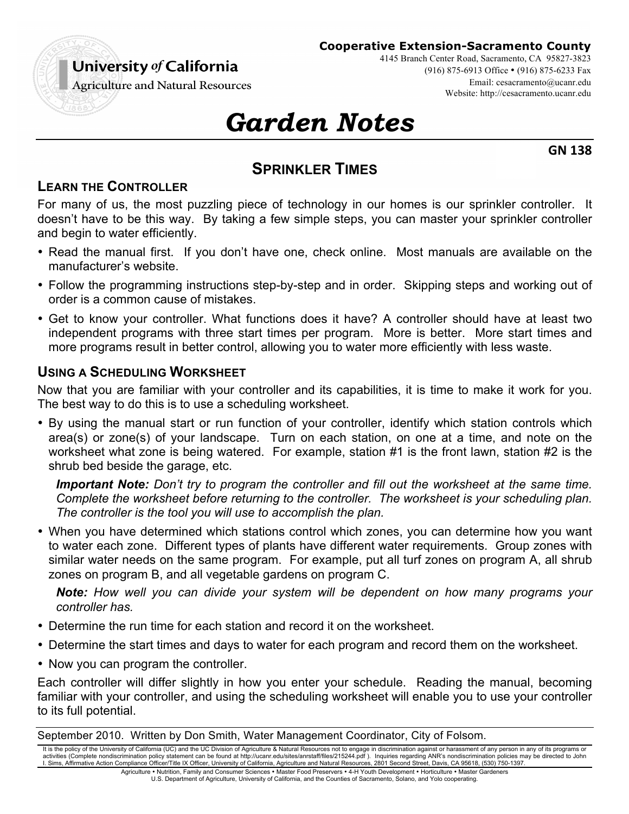# University of California

#### **Cooperative Extension-Sacramento County**

4145 Branch Center Road, Sacramento, CA 95827-3823

(916) 875-6913 Office • (916) 875-6233 Fax

Email: cesacramento@ucanr.edu Website: http://cesacramento.ucanr.edu

**Agriculture and Natural Resources** 

# *Garden Notes*

**GN 138**

# **SPRINKLER TIMES**

## **LEARN THE CONTROLLER**

For many of us, the most puzzling piece of technology in our homes is our sprinkler controller. It doesn't have to be this way. By taking a few simple steps, you can master your sprinkler controller and begin to water efficiently.

- Read the manual first. If you don't have one, check online. Most manuals are available on the manufacturer's website.
- Follow the programming instructions step-by-step and in order. Skipping steps and working out of order is a common cause of mistakes.
- Get to know your controller. What functions does it have? A controller should have at least two independent programs with three start times per program. More is better. More start times and more programs result in better control, allowing you to water more efficiently with less waste.

#### **USING A SCHEDULING WORKSHEET**

Now that you are familiar with your controller and its capabilities, it is time to make it work for you. The best way to do this is to use a scheduling worksheet.

• By using the manual start or run function of your controller, identify which station controls which area(s) or zone(s) of your landscape. Turn on each station, on one at a time, and note on the worksheet what zone is being watered. For example, station #1 is the front lawn, station #2 is the shrub bed beside the garage, etc.

*Important Note: Don't try to program the controller and fill out the worksheet at the same time. Complete the worksheet before returning to the controller. The worksheet is your scheduling plan. The controller is the tool you will use to accomplish the plan.*

• When you have determined which stations control which zones, you can determine how you want to water each zone. Different types of plants have different water requirements. Group zones with similar water needs on the same program. For example, put all turf zones on program A, all shrub zones on program B, and all vegetable gardens on program C.

*Note: How well you can divide your system will be dependent on how many programs your controller has.*

- Determine the run time for each station and record it on the worksheet.
- Determine the start times and days to water for each program and record them on the worksheet.
- Now you can program the controller.

Each controller will differ slightly in how you enter your schedule. Reading the manual, becoming familiar with your controller, and using the scheduling worksheet will enable you to use your controller to its full potential.

September 2010. Written by Don Smith, Water Management Coordinator, City of Folsom.

It is the policy of the University of California (UC) and the UC Division of Agriculture & Natural Resources not to engage in discrimination against or harassment of any person in any of its programs or activities (Complete nondiscrimination policy statement can be found at http://ucanr.edu/sites/anrstaff/files/215244.pdf ). Inquiries regarding ANR's nondiscrimination policies may be directed to John<br>I. Sims, Affirmative

Agriculture • Nutrition, Family and Consumer Sciences • Master Food Preservers • 4-H Youth Development • Horticulture • Master Gardeners U.S. Department of Agriculture, University of California, and the Counties of Sacramento, Solano, and Yolo cooperating.